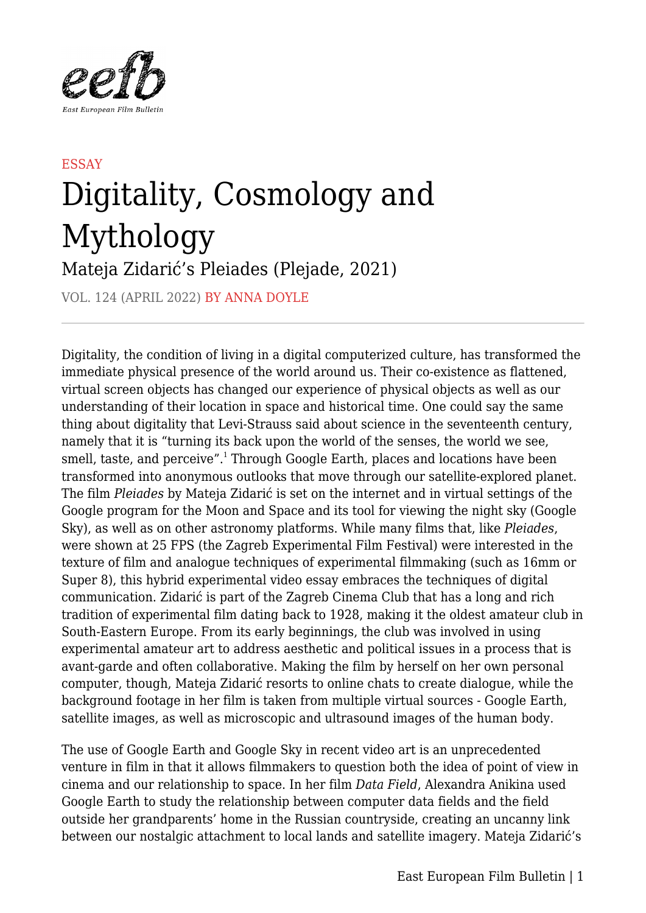

## **ESSAY** Digitality, Cosmology and Mythology

Mateja Zidarić's Pleiades (Plejade, 2021)

VOL. 124 (APRIL 2022) BY ANNA DOYLE

Digitality, the condition of living in a digital computerized culture, has transformed the immediate physical presence of the world around us. Their co-existence as flattened, virtual screen objects has changed our experience of physical objects as well as our understanding of their location in space and historical time. One could say the same thing about digitality that Levi-Strauss said about science in the seventeenth century, namely that it is "turning its back upon the world of the senses, the world we see, smell, taste, and perceive".<sup>1</sup> Through Google Earth, places and locations have been transformed into anonymous outlooks that move through our satellite-explored planet. The film *Pleiades* by Mateja Zidarić is set on the internet and in virtual settings of the Google program for the Moon and Space and its tool for viewing the night sky (Google Sky), as well as on other astronomy platforms. While many films that, like *Pleiades*, were shown at 25 FPS (the Zagreb Experimental Film Festival) were interested in the texture of film and analogue techniques of experimental filmmaking (such as 16mm or Super 8), this hybrid experimental video essay embraces the techniques of digital communication. Zidarić is part of the Zagreb Cinema Club that has a long and rich tradition of experimental film dating back to 1928, making it the oldest amateur club in South-Eastern Europe. From its early beginnings, the club was involved in using experimental amateur art to address aesthetic and political issues in a process that is avant-garde and often collaborative. Making the film by herself on her own personal computer, though, Mateja Zidarić resorts to online chats to create dialogue, while the background footage in her film is taken from multiple virtual sources - Google Earth, satellite images, as well as microscopic and ultrasound images of the human body.

The use of Google Earth and Google Sky in recent video art is an unprecedented venture in film in that it allows filmmakers to question both the idea of point of view in cinema and our relationship to space. In her film *Data Field*, Alexandra Anikina used Google Earth to study the relationship between computer data fields and the field outside her grandparents' home in the Russian countryside, creating an uncanny link between our nostalgic attachment to local lands and satellite imagery. Mateja Zidarić's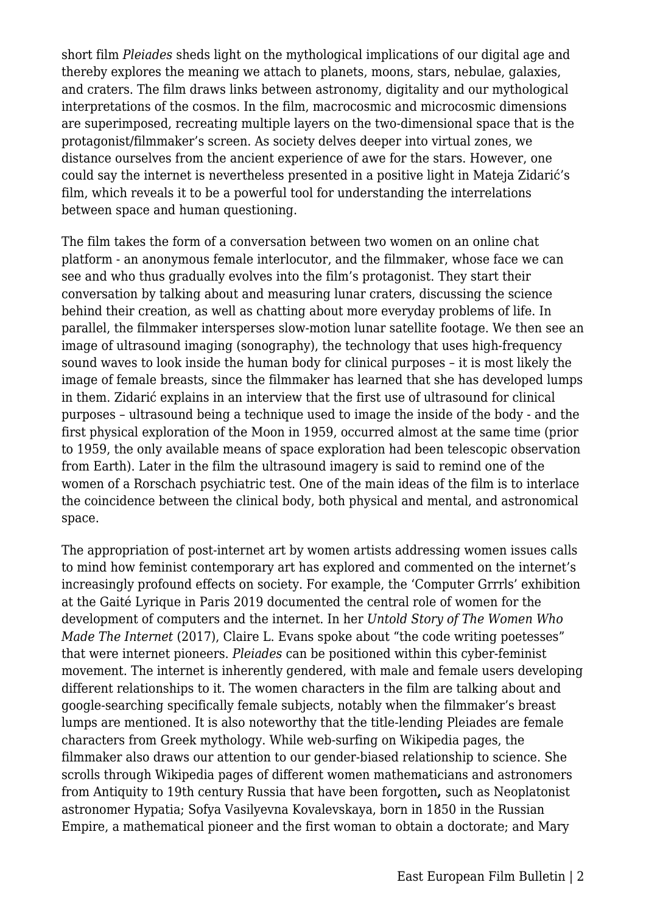short film *Pleiades* sheds light on the mythological implications of our digital age and thereby explores the meaning we attach to planets, moons, stars, nebulae, galaxies, and craters. The film draws links between astronomy, digitality and our mythological interpretations of the cosmos. In the film, macrocosmic and microcosmic dimensions are superimposed, recreating multiple layers on the two-dimensional space that is the protagonist/filmmaker's screen. As society delves deeper into virtual zones, we distance ourselves from the ancient experience of awe for the stars. However, one could say the internet is nevertheless presented in a positive light in Mateja Zidarić's film, which reveals it to be a powerful tool for understanding the interrelations between space and human questioning.

The film takes the form of a conversation between two women on an online chat platform - an anonymous female interlocutor, and the filmmaker, whose face we can see and who thus gradually evolves into the film's protagonist. They start their conversation by talking about and measuring lunar craters, discussing the science behind their creation, as well as chatting about more everyday problems of life. In parallel, the filmmaker intersperses slow-motion lunar satellite footage. We then see an image of ultrasound imaging (sonography), the technology that uses high-frequency sound waves to look inside the human body for clinical purposes – it is most likely the image of female breasts, since the filmmaker has learned that she has developed lumps in them. Zidarić explains in an interview that the first use of ultrasound for clinical purposes – ultrasound being a technique used to image the inside of the body - and the first physical exploration of the Moon in 1959, occurred almost at the same time (prior to 1959, the only available means of space exploration had been telescopic observation from Earth). Later in the film the ultrasound imagery is said to remind one of the women of a Rorschach psychiatric test. One of the main ideas of the film is to interlace the coincidence between the clinical body, both physical and mental, and astronomical space.

The appropriation of post-internet art by women artists addressing women issues calls to mind how feminist contemporary art has explored and commented on the internet's increasingly profound effects on society. For example, the 'Computer Grrrls' exhibition at the Gaité Lyrique in Paris 2019 documented the central role of women for the development of computers and the internet. In her *Untold Story of The Women Who Made The Internet* (2017), Claire L. Evans spoke about "the code writing poetesses" that were internet pioneers. *Pleiades* can be positioned within this cyber-feminist movement. The internet is inherently gendered, with male and female users developing different relationships to it. The women characters in the film are talking about and google-searching specifically female subjects, notably when the filmmaker's breast lumps are mentioned. It is also noteworthy that the title-lending Pleiades are female characters from Greek mythology. While web-surfing on Wikipedia pages, the filmmaker also draws our attention to our gender-biased relationship to science. She scrolls through Wikipedia pages of different women mathematicians and astronomers from Antiquity to 19th century Russia that have been forgotten**,** such as Neoplatonist astronomer Hypatia; Sofya Vasilyevna Kovalevskaya, born in 1850 in the Russian Empire, a mathematical pioneer and the first woman to obtain a doctorate; and Mary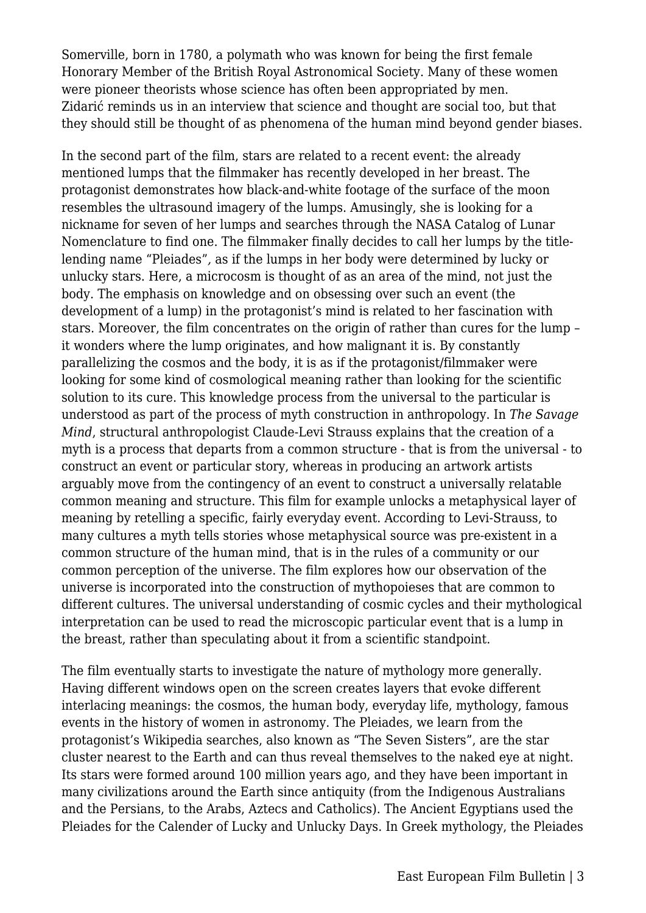Somerville, born in 1780, a polymath who was known for being the first female Honorary Member of the British Royal Astronomical Society. Many of these women were pioneer theorists whose science has often been appropriated by men. Zidarić reminds us in an interview that science and thought are social too, but that they should still be thought of as phenomena of the human mind beyond gender biases.

In the second part of the film, stars are related to a recent event: the already mentioned lumps that the filmmaker has recently developed in her breast. The protagonist demonstrates how black-and-white footage of the surface of the moon resembles the ultrasound imagery of the lumps. Amusingly, she is looking for a nickname for seven of her lumps and searches through the NASA Catalog of Lunar Nomenclature to find one. The filmmaker finally decides to call her lumps by the titlelending name "Pleiades"*,* as if the lumps in her body were determined by lucky or unlucky stars. Here, a microcosm is thought of as an area of the mind, not just the body. The emphasis on knowledge and on obsessing over such an event (the development of a lump) in the protagonist's mind is related to her fascination with stars. Moreover, the film concentrates on the origin of rather than cures for the lump – it wonders where the lump originates, and how malignant it is. By constantly parallelizing the cosmos and the body, it is as if the protagonist/filmmaker were looking for some kind of cosmological meaning rather than looking for the scientific solution to its cure. This knowledge process from the universal to the particular is understood as part of the process of myth construction in anthropology. In *The Savage Mind*, structural anthropologist Claude-Levi Strauss explains that the creation of a myth is a process that departs from a common structure - that is from the universal - to construct an event or particular story, whereas in producing an artwork artists arguably move from the contingency of an event to construct a universally relatable common meaning and structure. This film for example unlocks a metaphysical layer of meaning by retelling a specific, fairly everyday event. According to Levi-Strauss, to many cultures a myth tells stories whose metaphysical source was pre-existent in a common structure of the human mind, that is in the rules of a community or our common perception of the universe. The film explores how our observation of the universe is incorporated into the construction of mythopoieses that are common to different cultures. The universal understanding of cosmic cycles and their mythological interpretation can be used to read the microscopic particular event that is a lump in the breast, rather than speculating about it from a scientific standpoint.

The film eventually starts to investigate the nature of mythology more generally. Having different windows open on the screen creates layers that evoke different interlacing meanings: the cosmos, the human body, everyday life, mythology, famous events in the history of women in astronomy. The Pleiades, we learn from the protagonist's Wikipedia searches, also known as "The Seven Sisters", are the star cluster nearest to the Earth and can thus reveal themselves to the naked eye at night. Its stars were formed around 100 million years ago, and they have been important in many civilizations around the Earth since antiquity (from the Indigenous Australians and the Persians, to the Arabs, Aztecs and Catholics). The Ancient Egyptians used the Pleiades for the Calender of Lucky and Unlucky Days. In Greek mythology, the Pleiades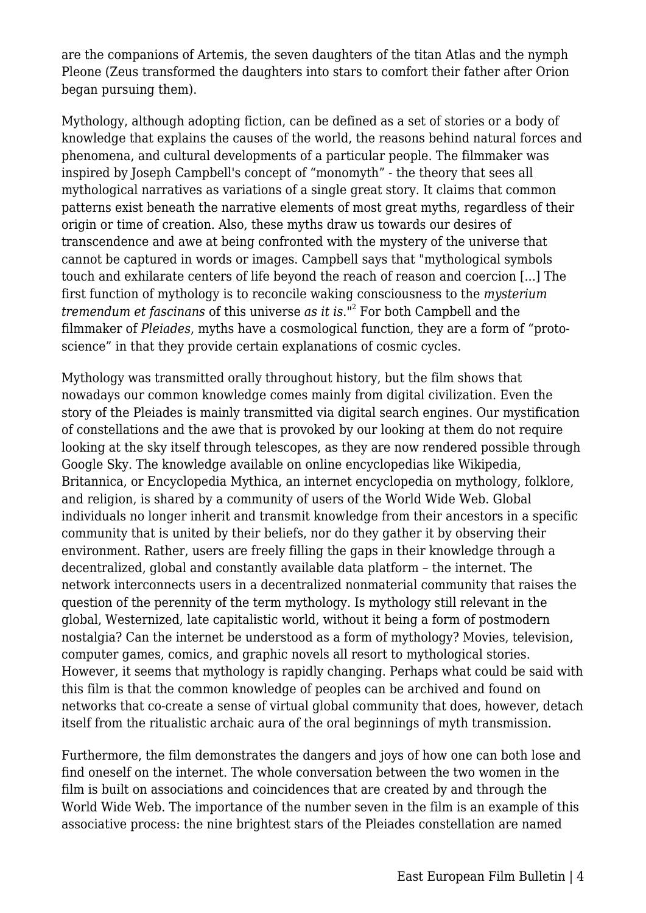are the companions of Artemis, the seven daughters of the titan Atlas and the nymph Pleone (Zeus transformed the daughters into stars to comfort their father after Orion began pursuing them).

Mythology, although adopting fiction, can be defined as a set of stories or a body of knowledge that explains the causes of the world, the reasons behind natural forces and phenomena, and cultural developments of a particular people. The filmmaker was inspired by Joseph Campbell's concept of "monomyth" - the theory that sees all mythological narratives as variations of a single great story. It claims that common patterns exist beneath the narrative elements of most great myths, regardless of their origin or time of creation. Also, these myths draw us towards our desires of transcendence and awe at being confronted with the mystery of the universe that cannot be captured in words or images. Campbell says that "mythological symbols touch and exhilarate centers of life beyond the reach of reason and coercion [...] The first function of mythology is to reconcile waking consciousness to the *mysterium tremendum et fascinans* of this universe *as it is*."<sup>2</sup> For both Campbell and the filmmaker of *Pleiades*, myths have a cosmological function, they are a form of "protoscience" in that they provide certain explanations of cosmic cycles.

Mythology was transmitted orally throughout history, but the film shows that nowadays our common knowledge comes mainly from digital civilization. Even the story of the Pleiades is mainly transmitted via digital search engines. Our mystification of constellations and the awe that is provoked by our looking at them do not require looking at the sky itself through telescopes, as they are now rendered possible through Google Sky. The knowledge available on online encyclopedias like Wikipedia, Britannica, or Encyclopedia Mythica, an internet encyclopedia on mythology, folklore, and religion, is shared by a community of users of the World Wide Web. Global individuals no longer inherit and transmit knowledge from their ancestors in a specific community that is united by their beliefs, nor do they gather it by observing their environment. Rather, users are freely filling the gaps in their knowledge through a decentralized, global and constantly available data platform – the internet. The network interconnects users in a decentralized nonmaterial community that raises the question of the perennity of the term mythology. Is mythology still relevant in the global, Westernized, late capitalistic world, without it being a form of postmodern nostalgia? Can the internet be understood as a form of mythology? Movies, television, computer games, comics, and graphic novels all resort to mythological stories. However, it seems that mythology is rapidly changing. Perhaps what could be said with this film is that the common knowledge of peoples can be archived and found on networks that co-create a sense of virtual global community that does, however, detach itself from the ritualistic archaic aura of the oral beginnings of myth transmission.

Furthermore, the film demonstrates the dangers and joys of how one can both lose and find oneself on the internet. The whole conversation between the two women in the film is built on associations and coincidences that are created by and through the World Wide Web. The importance of the number seven in the film is an example of this associative process: the nine brightest stars of the Pleiades constellation are named